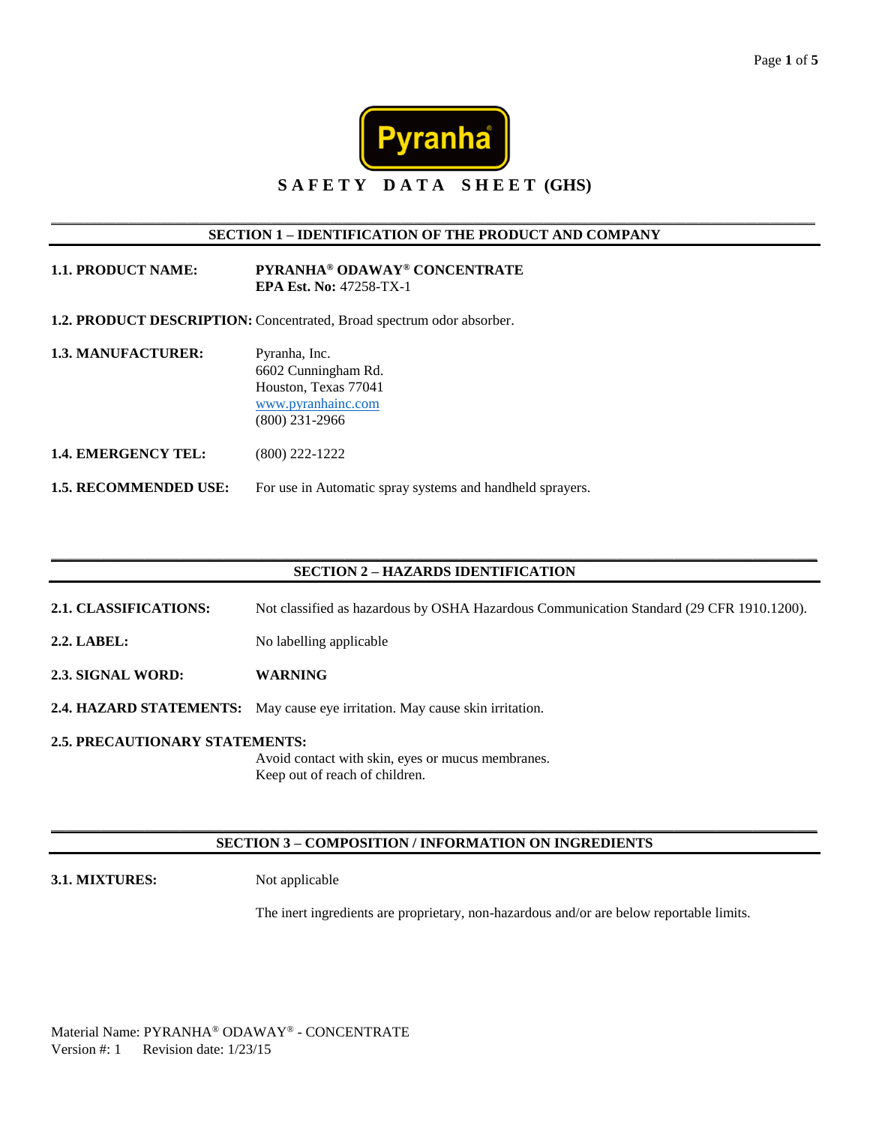

### \_\_\_\_\_\_\_\_\_\_\_\_\_\_\_\_\_\_\_\_\_\_\_\_\_\_\_\_\_\_\_\_\_\_\_\_\_\_\_\_\_\_\_\_\_\_\_\_\_\_\_\_\_\_\_\_\_\_\_\_\_\_\_\_\_\_\_\_\_\_\_\_\_\_\_\_\_\_\_\_\_\_\_\_\_\_\_\_\_\_\_\_\_\_\_\_\_\_\_\_\_\_\_\_\_\_\_\_\_\_\_\_\_\_\_\_\_\_ **SECTION 1 – IDENTIFICATION OF THE PRODUCT AND COMPANY**

| <b>1.1. PRODUCT NAME:</b> | PYRANHA <sup>®</sup> ODAWAY <sup>®</sup> CONCENTRATE |
|---------------------------|------------------------------------------------------|
|                           | <b>EPA Est. No: 47258-TX-1</b>                       |

**1.2. PRODUCT DESCRIPTION:** Concentrated, Broad spectrum odor absorber.

**1.3. MANUFACTURER:** Pyranha, Inc. 6602 Cunningham Rd. Houston, Texas 77041 [www.pyranhainc.com](http://www.pyranhainc.com/) (800) 231-2966 **1.4. EMERGENCY TEL:** (800) 222-1222

**1.5. RECOMMENDED USE:** For use in Automatic spray systems and handheld sprayers.

### \_\_\_\_\_\_\_\_\_\_\_\_\_\_\_\_\_\_\_\_\_\_\_\_\_\_\_\_\_\_\_\_\_\_\_\_\_\_\_\_\_\_\_\_\_\_\_\_\_\_\_\_\_\_\_\_\_\_\_\_\_\_\_\_\_\_\_\_\_\_\_\_\_\_\_\_\_\_\_\_\_\_\_\_\_\_\_\_\_\_\_\_\_\_\_\_\_\_\_\_\_\_\_\_\_\_\_ **SECTION 2 – HAZARDS IDENTIFICATION**

- **2.1. CLASSIFICATIONS:** Not classified as hazardous by OSHA Hazardous Communication Standard (29 CFR 1910.1200).
- **2.2. LABEL:** No labelling applicable
- **2.3. SIGNAL WORD: WARNING**
- **2.4. HAZARD STATEMENTS:** May cause eye irritation. May cause skin irritation.
- **2.5. PRECAUTIONARY STATEMENTS:** Avoid contact with skin, eyes or mucus membranes. Keep out of reach of children.

### \_\_\_\_\_\_\_\_\_\_\_\_\_\_\_\_\_\_\_\_\_\_\_\_\_\_\_\_\_\_\_\_\_\_\_\_\_\_\_\_\_\_\_\_\_\_\_\_\_\_\_\_\_\_\_\_\_\_\_\_\_\_\_\_\_\_\_\_\_\_\_\_\_\_\_\_\_\_\_\_\_\_\_\_\_\_\_\_\_\_\_\_\_\_\_\_\_\_\_\_\_\_\_\_\_\_\_ **SECTION 3 – COMPOSITION / INFORMATION ON INGREDIENTS**

### **3.1. MIXTURES:** Not applicable

The inert ingredients are proprietary, non-hazardous and/or are below reportable limits.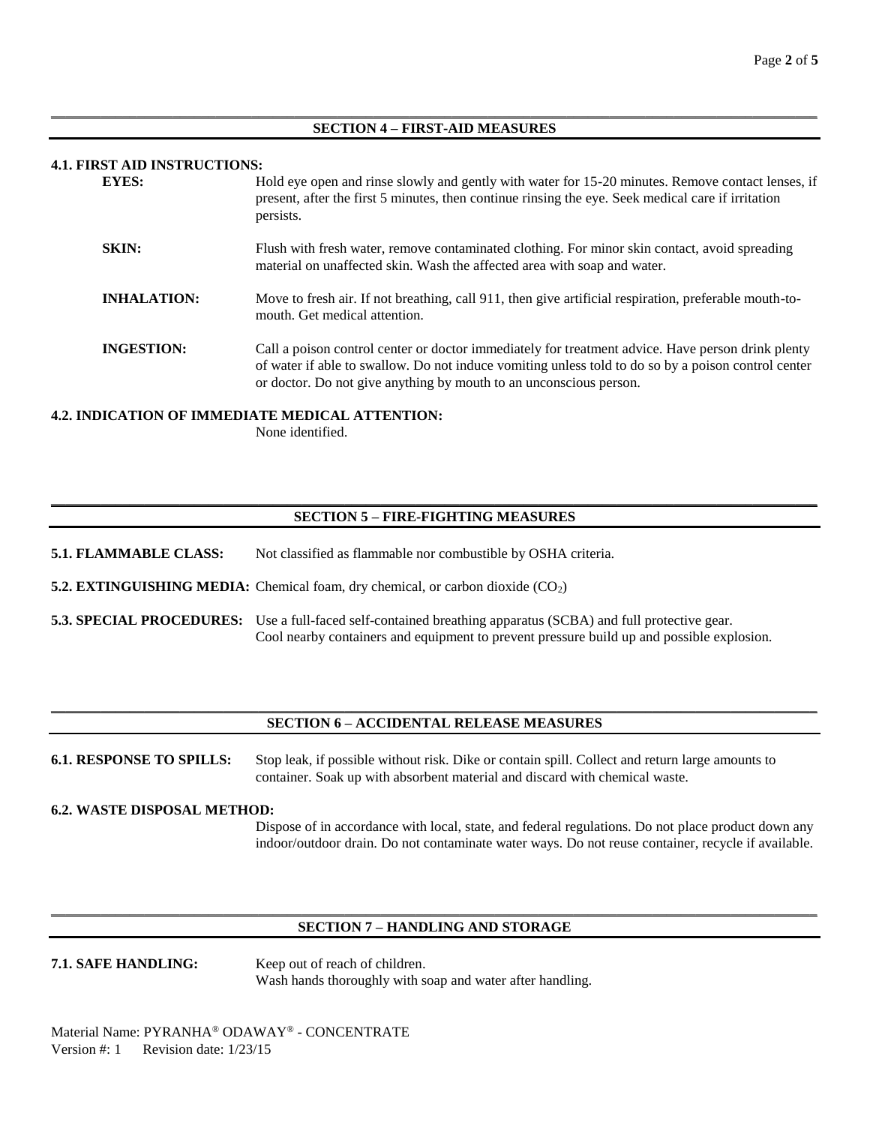### $\_$  ,  $\_$  ,  $\_$  ,  $\_$  ,  $\_$  ,  $\_$  ,  $\_$  ,  $\_$  ,  $\_$  ,  $\_$  ,  $\_$  ,  $\_$  ,  $\_$  ,  $\_$  ,  $\_$  ,  $\_$  ,  $\_$  ,  $\_$  ,  $\_$  ,  $\_$  ,  $\_$  ,  $\_$  ,  $\_$  ,  $\_$  ,  $\_$  ,  $\_$  ,  $\_$  ,  $\_$  ,  $\_$  ,  $\_$  ,  $\_$  ,  $\_$  ,  $\_$  ,  $\_$  ,  $\_$  ,  $\_$  ,  $\_$  , **SECTION 4 – FIRST-AID MEASURES**

### **4.1. FIRST AID INSTRUCTIONS:**

| <b>EYES:</b>       | Hold eye open and rinse slowly and gently with water for 15-20 minutes. Remove contact lenses, if<br>present, after the first 5 minutes, then continue rinsing the eye. Seek medical care if irritation<br>persists.                                                           |
|--------------------|--------------------------------------------------------------------------------------------------------------------------------------------------------------------------------------------------------------------------------------------------------------------------------|
| SKIN:              | Flush with fresh water, remove contaminated clothing. For minor skin contact, avoid spreading<br>material on unaffected skin. Wash the affected area with soap and water.                                                                                                      |
| <b>INHALATION:</b> | Move to fresh air. If not breathing, call 911, then give artificial respiration, preferable mouth-to-<br>mouth. Get medical attention.                                                                                                                                         |
| <b>INGESTION:</b>  | Call a poison control center or doctor immediately for treatment advice. Have person drink plenty<br>of water if able to swallow. Do not induce vomiting unless told to do so by a poison control center<br>or doctor. Do not give anything by mouth to an unconscious person. |

### **4.2. INDICATION OF IMMEDIATE MEDICAL ATTENTION:**

None identified.

### \_\_\_\_\_\_\_\_\_\_\_\_\_\_\_\_\_\_\_\_\_\_\_\_\_\_\_\_\_\_\_\_\_\_\_\_\_\_\_\_\_\_\_\_\_\_\_\_\_\_\_\_\_\_\_\_\_\_\_\_\_\_\_\_\_\_\_\_\_\_\_\_\_\_\_\_\_\_\_\_\_\_\_\_\_\_\_\_\_\_\_\_\_\_\_\_\_\_\_\_\_\_\_\_\_\_\_ **SECTION 5 – FIRE-FIGHTING MEASURES**

**5.1. FLAMMABLE CLASS:** Not classified as flammable nor combustible by OSHA criteria.

**5.2. EXTINGUISHING MEDIA:** Chemical foam, dry chemical, or carbon dioxide (CO<sub>2</sub>)

**5.3. SPECIAL PROCEDURES:** Use a full-faced self-contained breathing apparatus (SCBA) and full protective gear. Cool nearby containers and equipment to prevent pressure build up and possible explosion.

### $\_$  ,  $\_$  ,  $\_$  ,  $\_$  ,  $\_$  ,  $\_$  ,  $\_$  ,  $\_$  ,  $\_$  ,  $\_$  ,  $\_$  ,  $\_$  ,  $\_$  ,  $\_$  ,  $\_$  ,  $\_$  ,  $\_$  ,  $\_$  ,  $\_$  ,  $\_$  ,  $\_$  ,  $\_$  ,  $\_$  ,  $\_$  ,  $\_$  ,  $\_$  ,  $\_$  ,  $\_$  ,  $\_$  ,  $\_$  ,  $\_$  ,  $\_$  ,  $\_$  ,  $\_$  ,  $\_$  ,  $\_$  ,  $\_$  , **SECTION 6 – ACCIDENTAL RELEASE MEASURES**

**6.1. RESPONSE TO SPILLS:** Stop leak, if possible without risk. Dike or contain spill. Collect and return large amounts to container. Soak up with absorbent material and discard with chemical waste.

### **6.2. WASTE DISPOSAL METHOD:**

Dispose of in accordance with local, state, and federal regulations. Do not place product down any indoor/outdoor drain. Do not contaminate water ways. Do not reuse container, recycle if available.

### \_\_\_\_\_\_\_\_\_\_\_\_\_\_\_\_\_\_\_\_\_\_\_\_\_\_\_\_\_\_\_\_\_\_\_\_\_\_\_\_\_\_\_\_\_\_\_\_\_\_\_\_\_\_\_\_\_\_\_\_\_\_\_\_\_\_\_\_\_\_\_\_\_\_\_\_\_\_\_\_\_\_\_\_\_\_\_\_\_\_\_\_\_\_\_\_\_\_\_\_\_\_\_\_\_\_\_ **SECTION 7 – HANDLING AND STORAGE**

**7.1. SAFE HANDLING:** Keep out of reach of children. Wash hands thoroughly with soap and water after handling.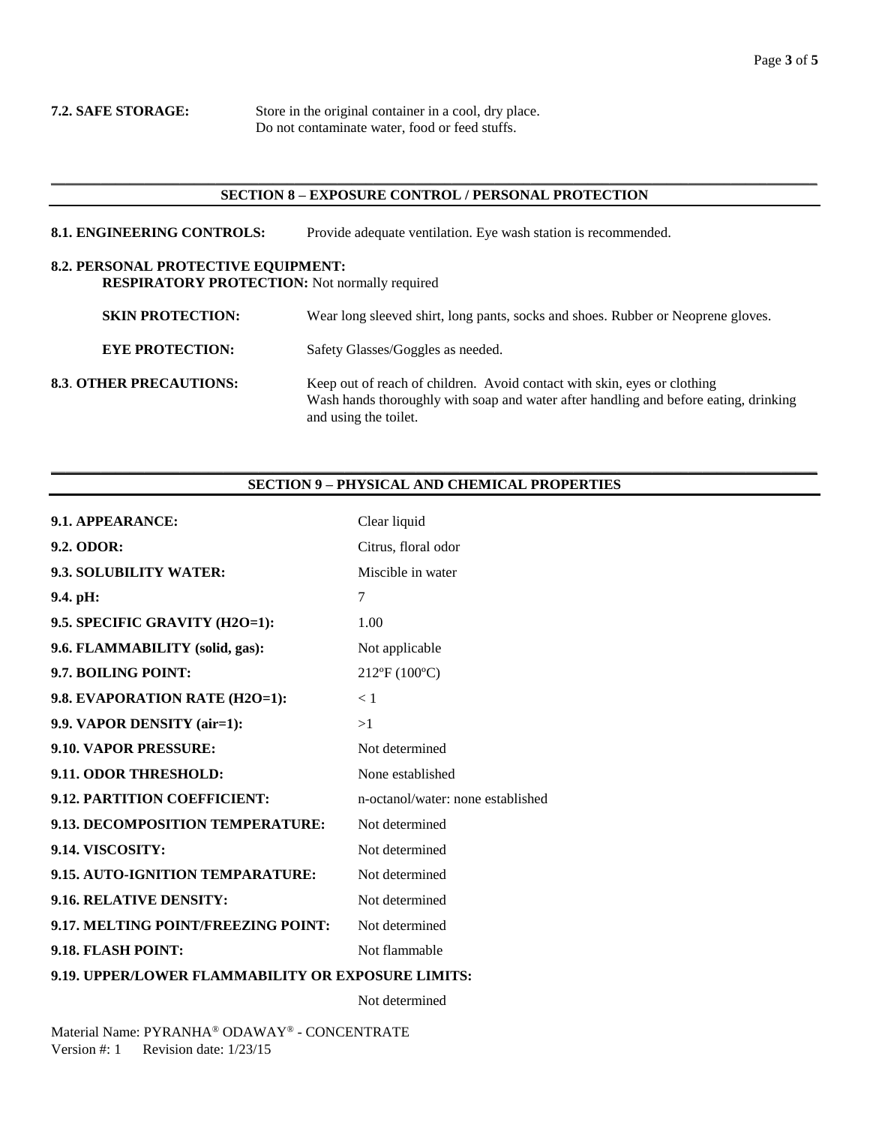**7.2. SAFE STORAGE:** Store in the original container in a cool, dry place. Do not contaminate water, food or feed stuffs.

### \_\_\_\_\_\_\_\_\_\_\_\_\_\_\_\_\_\_\_\_\_\_\_\_\_\_\_\_\_\_\_\_\_\_\_\_\_\_\_\_\_\_\_\_\_\_\_\_\_\_\_\_\_\_\_\_\_\_\_\_\_\_\_\_\_\_\_\_\_\_\_\_\_\_\_\_\_\_\_\_\_\_\_\_\_\_\_\_\_\_\_\_\_\_\_\_\_\_\_\_\_\_\_\_\_\_\_ **SECTION 8 – EXPOSURE CONTROL / PERSONAL PROTECTION**

**8.1. ENGINEERING CONTROLS:** Provide adequate ventilation. Eye wash station is recommended.

## **8.2. PERSONAL PROTECTIVE EQUIPMENT:**

**RESPIRATORY PROTECTION:** Not normally required

| <b>SKIN PROTECTION:</b>        | Wear long sleeved shirt, long pants, socks and shoes. Rubber or Neoprene gloves.                                                                                                          |
|--------------------------------|-------------------------------------------------------------------------------------------------------------------------------------------------------------------------------------------|
| <b>EYE PROTECTION:</b>         | Safety Glasses/Goggles as needed.                                                                                                                                                         |
| <b>8.3. OTHER PRECAUTIONS:</b> | Keep out of reach of children. Avoid contact with skin, eyes or clothing<br>Wash hands thoroughly with soap and water after handling and before eating, drinking<br>and using the toilet. |

### \_\_\_\_\_\_\_\_\_\_\_\_\_\_\_\_\_\_\_\_\_\_\_\_\_\_\_\_\_\_\_\_\_\_\_\_\_\_\_\_\_\_\_\_\_\_\_\_\_\_\_\_\_\_\_\_\_\_\_\_\_\_\_\_\_\_\_\_\_\_\_\_\_\_\_\_\_\_\_\_\_\_\_\_\_\_\_\_\_\_\_\_\_\_\_\_\_\_\_\_\_\_\_\_\_\_\_ **SECTION 9 – PHYSICAL AND CHEMICAL PROPERTIES**

| 9.1. APPEARANCE:                                   | Clear liquid                      |  |
|----------------------------------------------------|-----------------------------------|--|
| 9.2. ODOR:                                         | Citrus, floral odor               |  |
| 9.3. SOLUBILITY WATER:                             | Miscible in water                 |  |
| 9.4. pH:                                           | 7                                 |  |
| 9.5. SPECIFIC GRAVITY (H2O=1):                     | 1.00                              |  |
| 9.6. FLAMMABILITY (solid, gas):                    | Not applicable                    |  |
| 9.7. BOILING POINT:                                | 212°F (100°C)                     |  |
| 9.8. EVAPORATION RATE (H2O=1):                     | < 1                               |  |
| 9.9. VAPOR DENSITY (air=1):                        | >1                                |  |
| 9.10. VAPOR PRESSURE:                              | Not determined                    |  |
| 9.11. ODOR THRESHOLD:                              | None established                  |  |
| 9.12. PARTITION COEFFICIENT:                       | n-octanol/water: none established |  |
| 9.13. DECOMPOSITION TEMPERATURE:                   | Not determined                    |  |
| 9.14. VISCOSITY:                                   | Not determined                    |  |
| 9.15. AUTO-IGNITION TEMPARATURE:                   | Not determined                    |  |
| 9.16. RELATIVE DENSITY:                            | Not determined                    |  |
| 9.17. MELTING POINT/FREEZING POINT:                | Not determined                    |  |
| 9.18. FLASH POINT:                                 | Not flammable                     |  |
| 9.19. UPPER/LOWER FLAMMABILITY OR EXPOSURE LIMITS: |                                   |  |

Not determined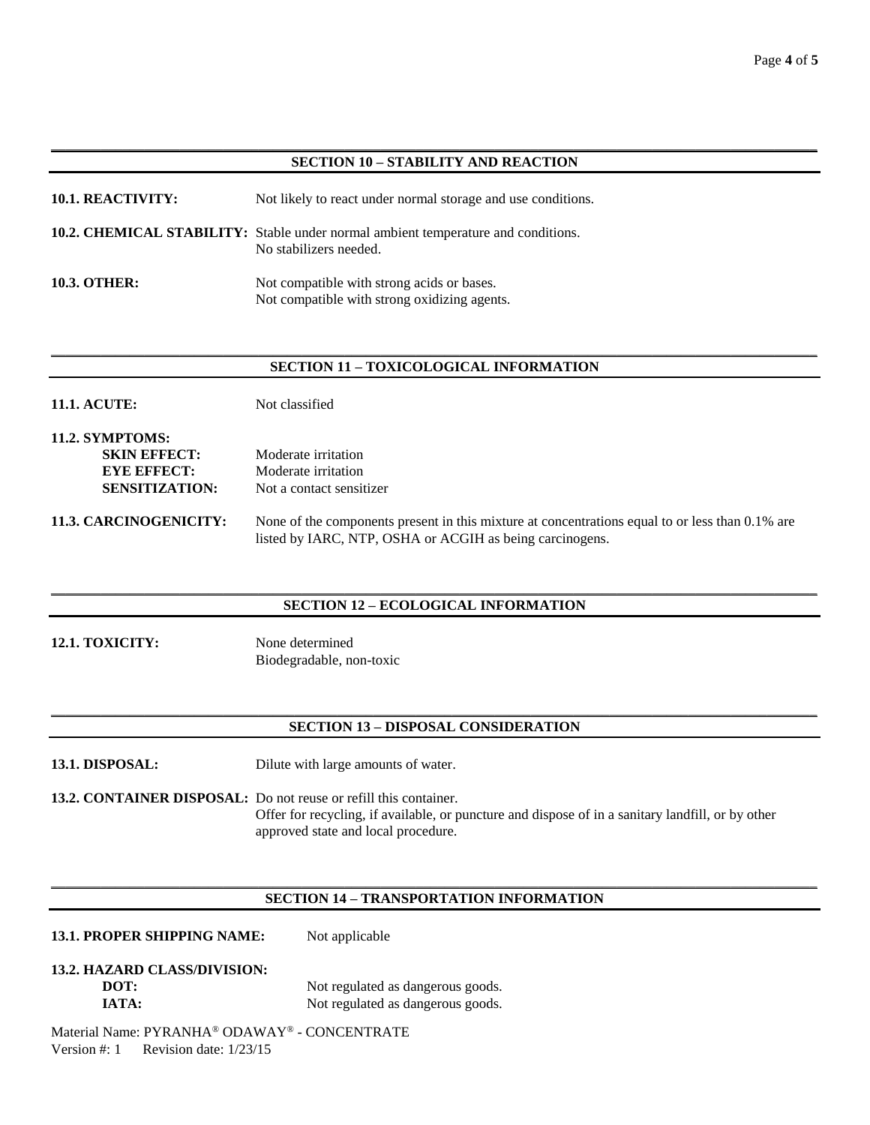### \_\_\_\_\_\_\_\_\_\_\_\_\_\_\_\_\_\_\_\_\_\_\_\_\_\_\_\_\_\_\_\_\_\_\_\_\_\_\_\_\_\_\_\_\_\_\_\_\_\_\_\_\_\_\_\_\_\_\_\_\_\_\_\_\_\_\_\_\_\_\_\_\_\_\_\_\_\_\_\_\_\_\_\_\_\_\_\_\_\_\_\_\_\_\_\_\_\_\_\_\_\_\_\_\_\_\_ **SECTION 10 – STABILITY AND REACTION**

| <b>10.1. REACTIVITY:</b> | Not likely to react under normal storage and use conditions.                                                |
|--------------------------|-------------------------------------------------------------------------------------------------------------|
|                          | 10.2. CHEMICAL STABILITY: Stable under normal ambient temperature and conditions.<br>No stabilizers needed. |
| <b>10.3. OTHER:</b>      | Not compatible with strong acids or bases.<br>Not compatible with strong oxidizing agents.                  |

### $\_$  ,  $\_$  ,  $\_$  ,  $\_$  ,  $\_$  ,  $\_$  ,  $\_$  ,  $\_$  ,  $\_$  ,  $\_$  ,  $\_$  ,  $\_$  ,  $\_$  ,  $\_$  ,  $\_$  ,  $\_$  ,  $\_$  ,  $\_$  ,  $\_$  ,  $\_$  ,  $\_$  ,  $\_$  ,  $\_$  ,  $\_$  ,  $\_$  ,  $\_$  ,  $\_$  ,  $\_$  ,  $\_$  ,  $\_$  ,  $\_$  ,  $\_$  ,  $\_$  ,  $\_$  ,  $\_$  ,  $\_$  ,  $\_$  , **SECTION 11 – TOXICOLOGICAL INFORMATION**

| <b>11.1. ACUTE:</b> | Not classified |
|---------------------|----------------|
|                     |                |

| <b>11.2. SYMPTOMS:</b> |                          |
|------------------------|--------------------------|
| <b>SKIN EFFECT:</b>    | Moderate irritation      |
| <b>EYE EFFECT:</b>     | Moderate irritation      |
| <b>SENSITIZATION:</b>  | Not a contact sensitizer |
|                        |                          |

**11.3. CARCINOGENICITY:** None of the components present in this mixture at concentrations equal to or less than 0.1% are listed by IARC, NTP, OSHA or ACGIH as being carcinogens.

### $\_$  ,  $\_$  ,  $\_$  ,  $\_$  ,  $\_$  ,  $\_$  ,  $\_$  ,  $\_$  ,  $\_$  ,  $\_$  ,  $\_$  ,  $\_$  ,  $\_$  ,  $\_$  ,  $\_$  ,  $\_$  ,  $\_$  ,  $\_$  ,  $\_$  ,  $\_$  ,  $\_$  ,  $\_$  ,  $\_$  ,  $\_$  ,  $\_$  ,  $\_$  ,  $\_$  ,  $\_$  ,  $\_$  ,  $\_$  ,  $\_$  ,  $\_$  ,  $\_$  ,  $\_$  ,  $\_$  ,  $\_$  ,  $\_$  , **SECTION 12 – ECOLOGICAL INFORMATION**

**12.1. TOXICITY:** None determined Biodegradable, non-toxic

### $\_$  ,  $\_$  ,  $\_$  ,  $\_$  ,  $\_$  ,  $\_$  ,  $\_$  ,  $\_$  ,  $\_$  ,  $\_$  ,  $\_$  ,  $\_$  ,  $\_$  ,  $\_$  ,  $\_$  ,  $\_$  ,  $\_$  ,  $\_$  ,  $\_$  ,  $\_$  ,  $\_$  ,  $\_$  ,  $\_$  ,  $\_$  ,  $\_$  ,  $\_$  ,  $\_$  ,  $\_$  ,  $\_$  ,  $\_$  ,  $\_$  ,  $\_$  ,  $\_$  ,  $\_$  ,  $\_$  ,  $\_$  ,  $\_$  , **SECTION 13 – DISPOSAL CONSIDERATION**

**13.1. DISPOSAL:** Dilute with large amounts of water.

**13.2. CONTAINER DISPOSAL:** Do not reuse or refill this container. Offer for recycling, if available, or puncture and dispose of in a sanitary landfill, or by other approved state and local procedure.

### \_\_\_\_\_\_\_\_\_\_\_\_\_\_\_\_\_\_\_\_\_\_\_\_\_\_\_\_\_\_\_\_\_\_\_\_\_\_\_\_\_\_\_\_\_\_\_\_\_\_\_\_\_\_\_\_\_\_\_\_\_\_\_\_\_\_\_\_\_\_\_\_\_\_\_\_\_\_\_\_\_\_\_\_\_\_\_\_\_\_\_\_\_\_\_\_\_\_\_\_\_\_\_\_\_\_\_ **SECTION 14 – TRANSPORTATION INFORMATION**

### 13.1. PROPER SHIPPING NAME: Not applicable

# **13.2. HAZARD CLASS/DIVISION:**

**DOT:** Not regulated as dangerous goods. **IATA:** Not regulated as dangerous goods.

Material Name: PYRANHA® ODAWAY® - CONCENTRATE Version #: 1 Revision date: 1/23/15